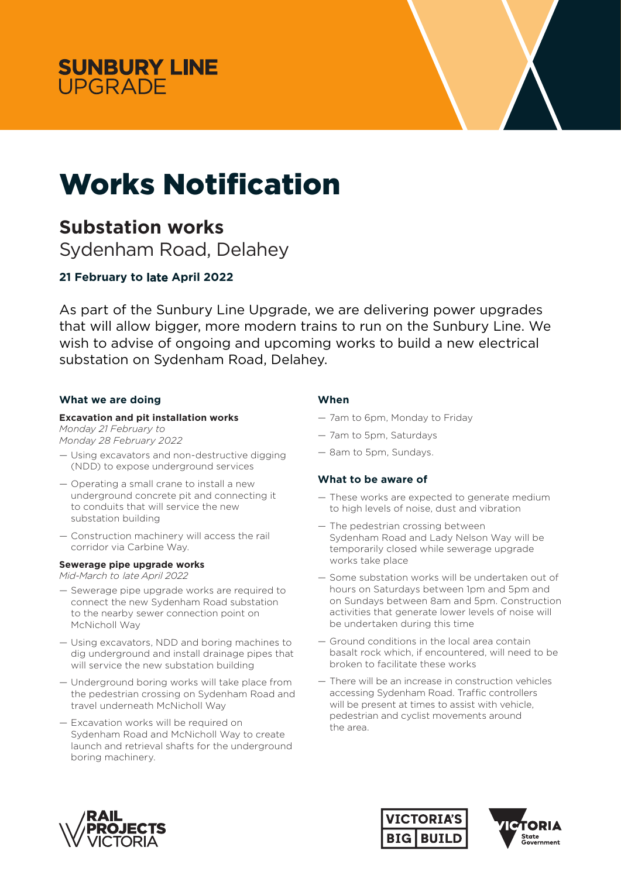



# Works Notification

# **Substation works**

Sydenham Road, Delahey

# **21 February to** late **April 2022**

As part of the Sunbury Line Upgrade, we are delivering power upgrades that will allow bigger, more modern trains to run on the Sunbury Line. We wish to advise of ongoing and upcoming works to build a new electrical substation on Sydenham Road, Delahey.

# **What we are doing**

### **Excavation and pit installation works**

*Monday 21 February to Monday 28 February 2022*

- Using excavators and non-destructive digging (NDD) to expose underground services
- Operating a small crane to install a new underground concrete pit and connecting it to conduits that will service the new substation building
- Construction machinery will access the rail corridor via Carbine Way.

#### **Sewerage pipe upgrade works**

Mid-March *to* late *April 2022*

- Sewerage pipe upgrade works are required to connect the new Sydenham Road substation to the nearby sewer connection point on McNicholl Way
- Using excavators, NDD and boring machines to dig underground and install drainage pipes that will service the new substation building
- Underground boring works will take place from the pedestrian crossing on Sydenham Road and travel underneath McNicholl Way
- Excavation works will be required on Sydenham Road and McNicholl Way to create launch and retrieval shafts for the underground boring machinery.

# **When**

- 7am to 6pm, Monday to Friday
- 7am to 5pm, Saturdays
- 8am to 5pm, Sundays.

# **What to be aware of**

- These works are expected to generate medium to high levels of noise, dust and vibration
- The pedestrian crossing between Sydenham Road and Lady Nelson Way will be temporarily closed while sewerage upgrade works take place
- Some substation works will be undertaken out of hours on Saturdays between 1pm and 5pm and on Sundays between 8am and 5pm. Construction activities that generate lower levels of noise will be undertaken during this time
- Ground conditions in the local area contain basalt rock which, if encountered, will need to be broken to facilitate these works
- There will be an increase in construction vehicles accessing Sydenham Road. Traffic controllers will be present at times to assist with vehicle, pedestrian and cyclist movements around the area.